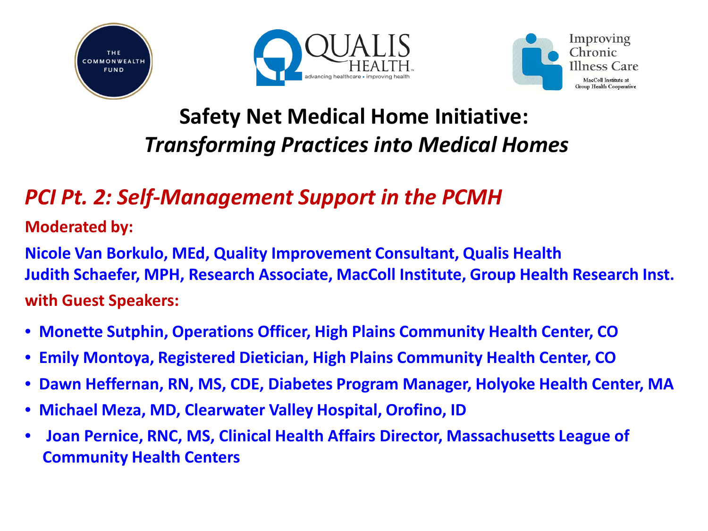





### **Safety Net Medical Home Initiative:** *Transforming Practices into Medical Homes*

#### *PCI Pt. 2: Self-Management Support in the PCMH*

**Moderated by:**

**Nicole Van Borkulo, MEd, Quality Improvement Consultant, Qualis Health Judith Schaefer, MPH, Research Associate, MacColl Institute, Group Health Research Inst. with Guest Speakers:** 

- **Monette Sutphin, Operations Officer, High Plains Community Health Center, CO**
- **Emily Montoya, Registered Dietician, High Plains Community Health Center, CO**
- **Dawn Heffernan, RN, MS, CDE, Diabetes Program Manager, Holyoke Health Center, MA**
- **Michael Meza, MD, Clearwater Valley Hospital, Orofino, ID**
- **Joan Pernice, RNC, MS, Clinical Health Affairs Director, Massachusetts League of Community Health Centers**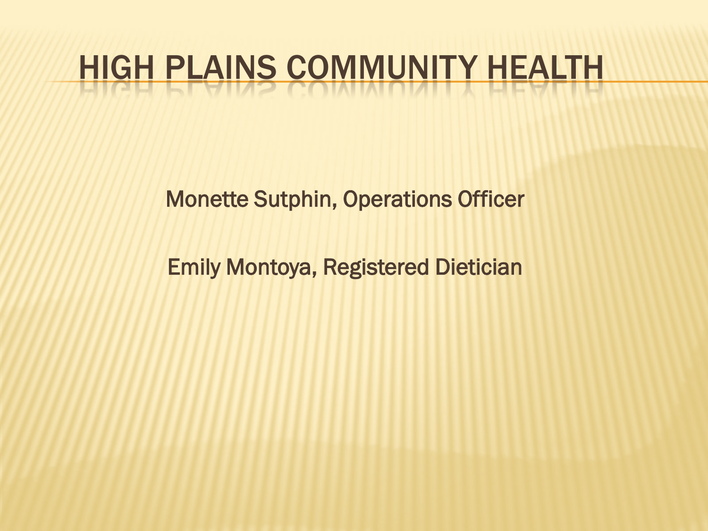# HIGH PLAINS COMMUNITY HEALTH

Monette Sutphin, Operations Officer

Emily Montoya, Registered Dietician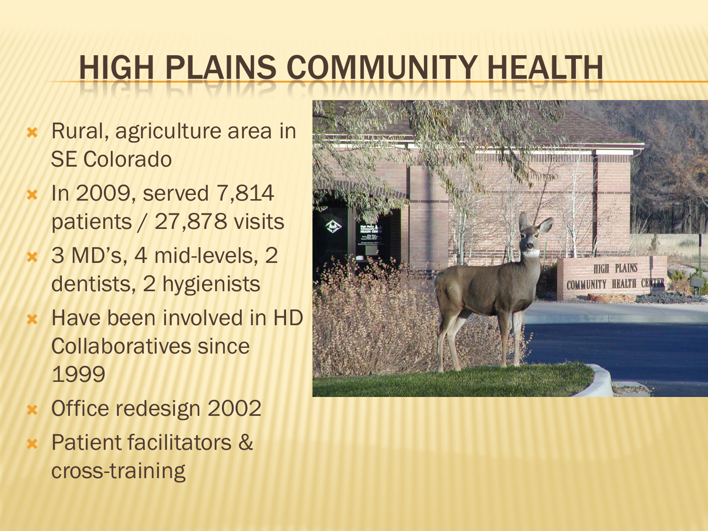# HIGH PLAINS COMMUNITY HEALTH

- Rural, agriculture area in SE Colorado
- **x** In 2009, served 7,814 patients / 27,878 visits
- 3 MD's, 4 mid-levels, 2 dentists, 2 hygienists
- **\* Have been involved in HD** Collaboratives since 1999
- Office redesign 2002
- Patient facilitators & cross-training

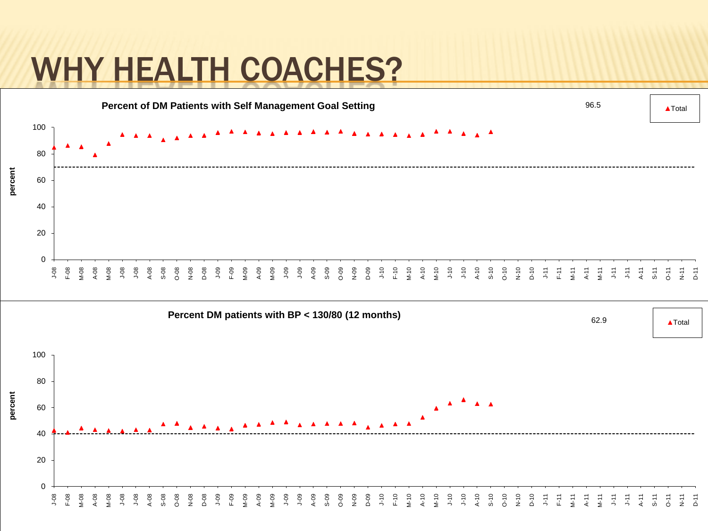### WHY HEALTH COACHES?

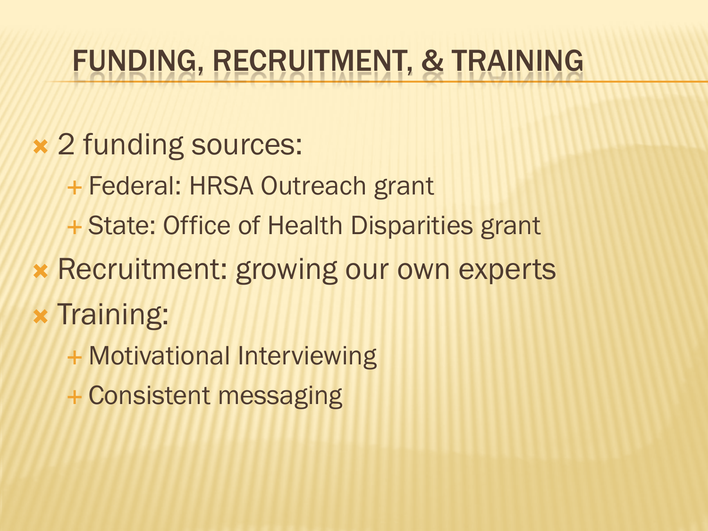### FUNDING, RECRUITMENT, & TRAINING

- 2 funding sources:
	- Federal: HRSA Outreach grant
	- + State: Office of Health Disparities grant
- **\* Recruitment: growing our own experts**
- $\ast$  Training:
	- + Motivational Interviewing
	- Consistent messaging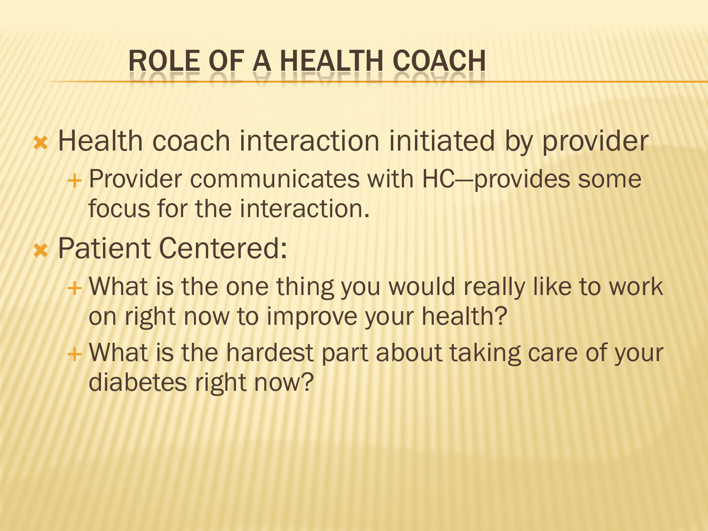## ROLE OF A HEALTH COACH

**\* Health coach interaction initiated by provider** 

- Provider communicates with HC—provides some focus for the interaction.
- Patient Centered:
	- What is the one thing you would really like to work on right now to improve your health?
	- What is the hardest part about taking care of your diabetes right now?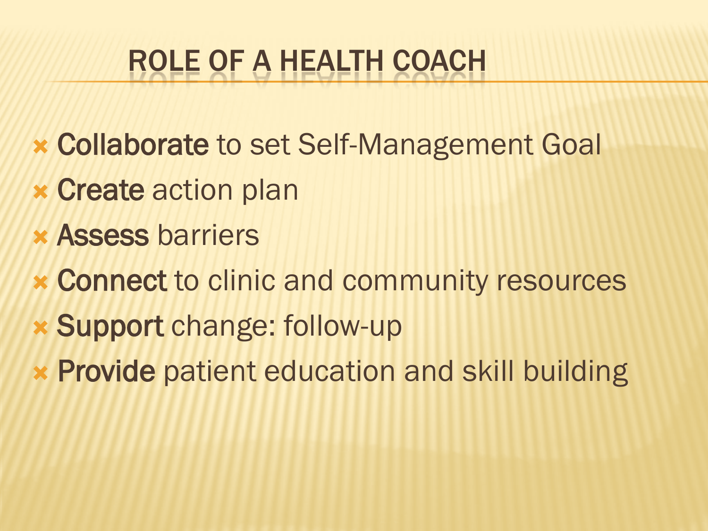## ROLE OF A HEALTH COACH

- Collaborate to set Self-Management Goal
- **x Create action plan**
- Assess barriers
- Connect to clinic and community resources
- Support change: follow-up
- Provide patient education and skill building